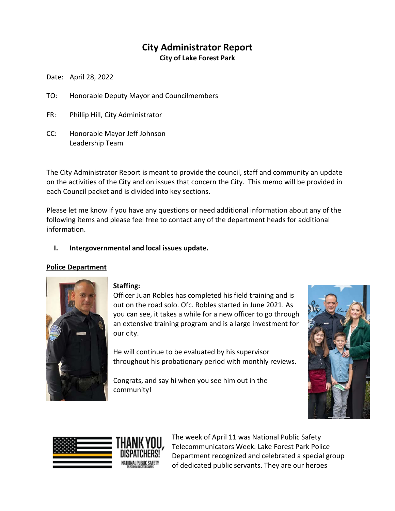# **City Administrator Report**

**City of Lake Forest Park**

Date: April 28, 2022

- TO: Honorable Deputy Mayor and Councilmembers
- FR: Phillip Hill, City Administrator
- CC: Honorable Mayor Jeff Johnson Leadership Team

The City Administrator Report is meant to provide the council, staff and community an update on the activities of the City and on issues that concern the City. This memo will be provided in each Council packet and is divided into key sections.

Please let me know if you have any questions or need additional information about any of the following items and please feel free to contact any of the department heads for additional information.

## **I. Intergovernmental and local issues update.**

## **Police Department**



## **Staffing:**

Officer Juan Robles has completed his field training and is out on the road solo. Ofc. Robles started in June 2021. As you can see, it takes a while for a new officer to go through an extensive training program and is a large investment for our city.

He will continue to be evaluated by his supervisor throughout his probationary period with monthly reviews.

Congrats, and say hi when you see him out in the community!





The week of April 11 was National Public Safety Telecommunicators Week. Lake Forest Park Police Department recognized and celebrated a special group of dedicated public servants. They are our heroes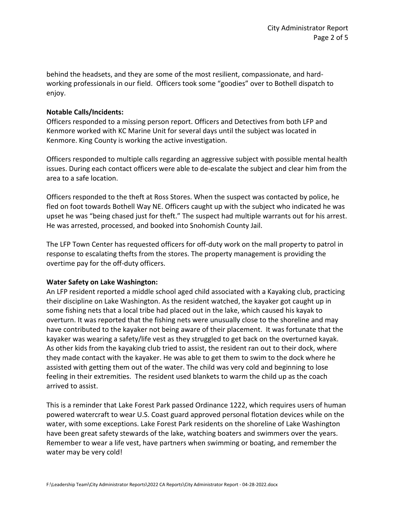behind the headsets, and they are some of the most resilient, compassionate, and hardworking professionals in our field. Officers took some "goodies" over to Bothell dispatch to enjoy.

## **Notable Calls/Incidents:**

Officers responded to a missing person report. Officers and Detectives from both LFP and Kenmore worked with KC Marine Unit for several days until the subject was located in Kenmore. King County is working the active investigation.

Officers responded to multiple calls regarding an aggressive subject with possible mental health issues. During each contact officers were able to de-escalate the subject and clear him from the area to a safe location.

Officers responded to the theft at Ross Stores. When the suspect was contacted by police, he fled on foot towards Bothell Way NE. Officers caught up with the subject who indicated he was upset he was "being chased just for theft." The suspect had multiple warrants out for his arrest. He was arrested, processed, and booked into Snohomish County Jail.

The LFP Town Center has requested officers for off-duty work on the mall property to patrol in response to escalating thefts from the stores. The property management is providing the overtime pay for the off-duty officers.

## **Water Safety on Lake Washington:**

An LFP resident reported a middle school aged child associated with a Kayaking club, practicing their discipline on Lake Washington. As the resident watched, the kayaker got caught up in some fishing nets that a local tribe had placed out in the lake, which caused his kayak to overturn. It was reported that the fishing nets were unusually close to the shoreline and may have contributed to the kayaker not being aware of their placement. It was fortunate that the kayaker was wearing a safety/life vest as they struggled to get back on the overturned kayak. As other kids from the kayaking club tried to assist, the resident ran out to their dock, where they made contact with the kayaker. He was able to get them to swim to the dock where he assisted with getting them out of the water. The child was very cold and beginning to lose feeling in their extremities. The resident used blankets to warm the child up as the coach arrived to assist.

This is a reminder that Lake Forest Park passed Ordinance 1222, which requires users of human powered watercraft to wear U.S. Coast guard approved personal flotation devices while on the water, with some exceptions. Lake Forest Park residents on the shoreline of Lake Washington have been great safety stewards of the lake, watching boaters and swimmers over the years. Remember to wear a life vest, have partners when swimming or boating, and remember the water may be very cold!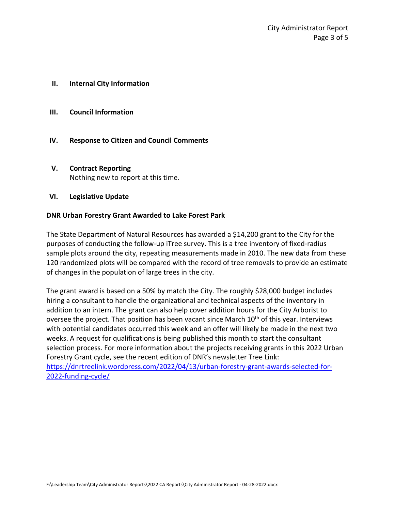- **II. Internal City Information**
- **III. Council Information**
- **IV. Response to Citizen and Council Comments**
- **V. Contract Reporting** Nothing new to report at this time.

## **VI. Legislative Update**

## **DNR Urban Forestry Grant Awarded to Lake Forest Park**

The State Department of Natural Resources has awarded a \$14,200 grant to the City for the purposes of conducting the follow-up iTree survey. This is a tree inventory of fixed-radius sample plots around the city, repeating measurements made in 2010. The new data from these 120 randomized plots will be compared with the record of tree removals to provide an estimate of changes in the population of large trees in the city.

The grant award is based on a 50% by match the City. The roughly \$28,000 budget includes hiring a consultant to handle the organizational and technical aspects of the inventory in addition to an intern. The grant can also help cover addition hours for the City Arborist to oversee the project. That position has been vacant since March  $10<sup>th</sup>$  of this year. Interviews with potential candidates occurred this week and an offer will likely be made in the next two weeks. A request for qualifications is being published this month to start the consultant selection process. For more information about the projects receiving grants in this 2022 Urban Forestry Grant cycle, see the recent edition of DNR's newsletter Tree Link: [https://dnrtreelink.wordpress.com/2022/04/13/urban-forestry-grant-awards-selected-for-](https://dnrtreelink.wordpress.com/2022/04/13/urban-forestry-grant-awards-selected-for-2022-funding-cycle/)[2022-funding-cycle/](https://dnrtreelink.wordpress.com/2022/04/13/urban-forestry-grant-awards-selected-for-2022-funding-cycle/)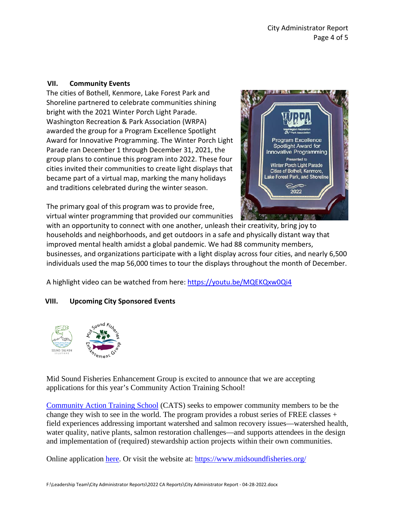## **VII. Community Events**

The cities of Bothell, Kenmore, Lake Forest Park and Shoreline partnered to celebrate communities shining bright with the 2021 Winter Porch Light Parade. Washington Recreation & Park Association (WRPA) awarded the group for a Program Excellence Spotlight Award for Innovative Programming. The Winter Porch Light Parade ran December 1 through December 31, 2021, the group plans to continue this program into 2022. These four cities invited their communities to create light displays that became part of a virtual map, marking the many holidays and traditions celebrated during the winter season.

The primary goal of this program was to provide free, virtual winter programming that provided our communities



with an opportunity to connect with one another, unleash their creativity, bring joy to households and neighborhoods, and get outdoors in a safe and physically distant way that improved mental health amidst a global pandemic. We had 88 community members, businesses, and organizations participate with a light display across four cities, and nearly 6,500 individuals used the map 56,000 times to tour the displays throughout the month of December.

A highlight video can be watched from here[: https://youtu.be/MQEKQxw0Qi4](https://youtu.be/MQEKQxw0Qi4)

# **VIII. Upcoming City Sponsored Events**



Mid Sound Fisheries Enhancement Group is excited to announce that we are accepting applications for this year's Community Action Training School!

[Community Action Training School](https://us-west-2.protection.sophos.com/?d=midsoundfisheries.org&u=aHR0cHM6Ly93d3cubWlkc291bmRmaXNoZXJpZXMub3JnL3dyaWEtOC1jb21tdW5pdHktYWN0aW9uLXRyYWluaW5nLXNjaG9vbC13ZWJwYWdlLw==&p=m&i=NjIxMDZlMTljNGVlN2IxMDI0YzRlNTlm&t=cXhUUC9tRWNQQTNuNDJDOFU1SnhEQjQ4ZG11M1BjakpFWjhJSTQzUVBQOD0=&h=4aa16ddabeec41c6bba3d8283f8b7c1e) (CATS) seeks to empower community members to be the change they wish to see in the world. The program provides a robust series of FREE classes  $+$ field experiences addressing important watershed and salmon recovery issues—watershed health, water quality, native plants, salmon restoration challenges—and supports attendees in the design and implementation of (required) stewardship action projects within their own communities.

Online application [here.](https://us-west-2.protection.sophos.com/?d=google.com&u=aHR0cHM6Ly9kb2NzLmdvb2dsZS5jb20vZm9ybXMvZC9lLzFGQUlwUUxTY3d1cHltR0c2TVdYMml4MDhETFpIeVphUFppcFNscEgzb1pjRFBnYWx3dHRTNW13L3ZpZXdmb3Jt&p=m&i=NjIxMDZlMTljNGVlN2IxMDI0YzRlNTlm&t=YTlDc3FhNkhSMGU0Q0NGdzdCR2xHZmw2NG5udmJTdXh3dGhyS3AwUmYwbz0=&h=4aa16ddabeec41c6bba3d8283f8b7c1e) Or visit the website at:<https://www.midsoundfisheries.org/>